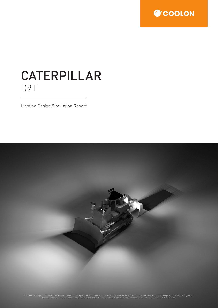

# CATERPILLAR D9T

Lighting Design Simulation Report

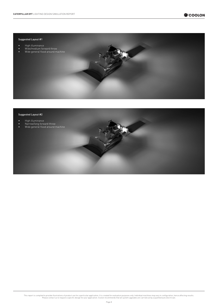## Suggested Layout #1

- High illuminance
- Wide/medium forward throw
- Wide general flood around machine

#### Suggested Layout #2

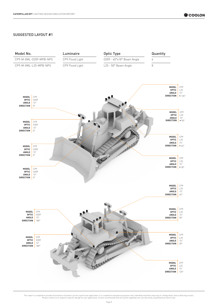# SUGGESTED LAYOUT #1

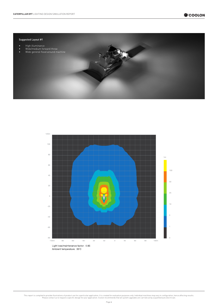

#### Suggested Layout #1



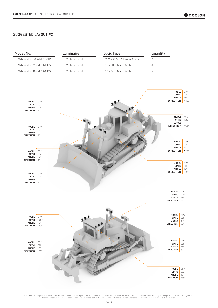# SUGGESTED LAYOUT #2